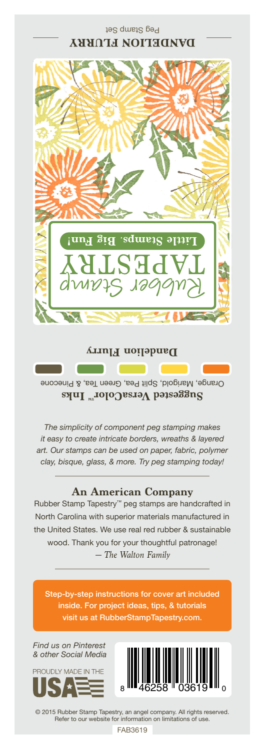

## **Dandelion Flurry**

Orange, Marigold, Split Pea, Green Tea, & Pinecone **Suggested VersaColor** Inks

*The simplicity of component peg stamping makes it easy to create intricate borders, wreaths & layered art. Our stamps can be used on paper, fabric, polymer clay, bisque, glass, & more. Try peg stamping today!*

## **An American Company**

*— The Walton Family* Rubber Stamp Tapestry™ peg stamps are handcrafted in North Carolina with superior materials manufactured in the United States. We use real red rubber & sustainable wood. Thank you for your thoughtful patronage!

Step-by-step instructions for cover art included inside. For project ideas, tips, & tutorials visit us at RubberStampTapestry.com.

*Find us on Pinterest & other Social Media*





© 2015 Rubber Stamp Tapestry, an angel company. All rights reserved. Refer to our website for information on limitations of use.